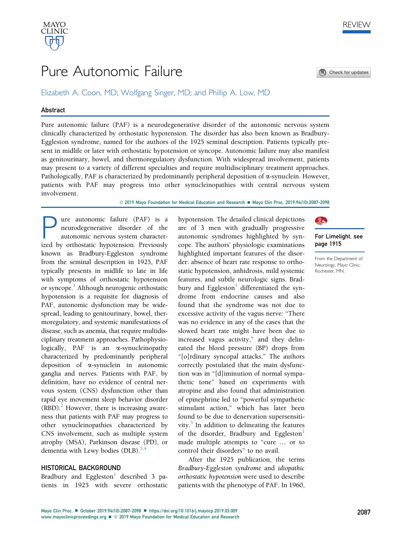

# Pure Autonomic Failure

Elizabeth A. Coon, MD; Wolfgang Singer, MD; and Phillip A. Low, MD

# Abstract

Pure autonomic failure (PAF) is a neurodegenerative disorder of the autonomic nervous system clinically characterized by orthostatic hypotension. The disorder has also been known as Bradbury-Eggleston syndrome, named for the authors of the 1925 seminal description. Patients typically present in midlife or later with orthostatic hypotension or syncope. Autonomic failure may also manifest as genitourinary, bowel, and thermoregulatory dysfunction. With widespread involvement, patients may present to a variety of different specialties and require multidisciplinary treatment approaches. Pathologically, PAF is characterized by predominantly peripheral deposition of  $\alpha$ -synuclein. However, patients with PAF may progress into other synucleinopathies with central nervous system involvement.

© 2019 Mayo Foundation for Medical Education and Research ■ Mayo Clin Proc. 2019;94(10):2087-2098

**P** ure autonomic failure (PAF) is a neurodegenerative disorder of the autonomic nervous system characterized by orthostatic hypotension. Previously neurodegenerative disorder of the autonomic nervous system characterized by orthostatic hypotension. Previously known as Bradbury-Eggleston syndrome from the seminal description in 1925, PAF typically presents in midlife to late in life with symptoms of orthostatic hypotension or syncope.<sup>1</sup> Although neurogenic orthostatic hypotension is a requisite for diagnosis of PAF, autonomic dysfunction may be widespread, leading to genitourinary, bowel, thermoregulatory, and systemic manifestations of disease, such as anemia, that require multidisciplinary treatment approaches. Pathophysiologically, PAF is an  $\alpha$ -synucleinopathy characterized by predominantly peripheral deposition of a-synuclein in autonomic ganglia and nerves. Patients with PAF, by definition, have no evidence of central nervous system (CNS) dysfunction other than rapid eye movement sleep behavior disorder  $(RBD)$ .<sup>[2](#page-10-0)</sup> However, there is increasing awareness that patients with PAF may progress to other synucleinopathies characterized by CNS involvement, such as multiple system atrophy (MSA), Parkinson disease (PD), or dementia with Lewy bodies (DLB). $^{3,4}$ 

# HISTORICAL BACKGROUND

Bradbury and Eggleston<sup>[1](#page-9-0)</sup> described 3 patients in 1925 with severe orthostatic hypotension. The detailed clinical depictions are of 3 men with gradually progressive autonomic syndromes highlighted by syncope. The authors' physiologic examinations highlighted important features of the disorder: absence of heart rate response to orthostatic hypotension, anhidrosis, mild systemic features, and subtle neurologic signs. Bradbury and Eggleston $<sup>1</sup>$  $<sup>1</sup>$  $<sup>1</sup>$  differentiated the syn-</sup> drome from endocrine causes and also found that the syndrome was not due to excessive activity of the vagus nerve: "There was no evidence in any of the cases that the slowed heart rate might have been due to increased vagus activity," and they delineated the blood pressure (BP) drops from "[o]rdinary syncopal attacks." The authors correctly postulated that the main dysfunction was in "[d]iminution of normal sympathetic tone" based on experiments with atropine and also found that administration of epinephrine led to "powerful sympathetic stimulant action," which has later been found to be due to denervation supersensitivity. $5$  In addition to delineating the features of the disorder, Bradbury and Eggleston $<sup>1</sup>$  $<sup>1</sup>$  $<sup>1</sup>$ </sup> made multiple attempts to "cure ... or to control their disorders" to no avail.

After the 1925 publication, the terms Bradbury-Eggleston syndrome and idiopathic orthostatic hypotension were used to describe patients with the phenotype of PAF. In 1960,



Check for updates



# For Limelight, see page 1915

From the Department of Neurology, Mayo Clinic, Rochester, MN.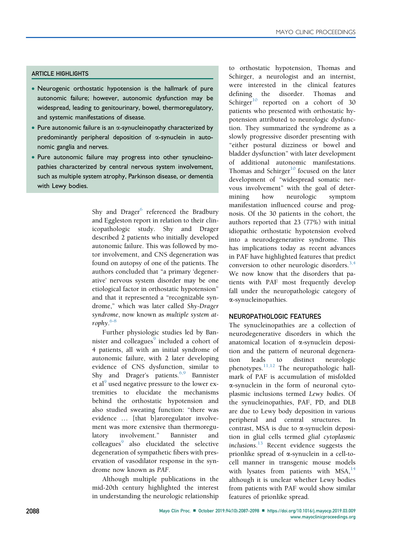# ARTICLE HIGHLIGHTS

- Neurogenic orthostatic hypotension is the hallmark of pure autonomic failure; however, autonomic dysfunction may be widespread, leading to genitourinary, bowel, thermoregulatory, and systemic manifestations of disease.
- Pure autonomic failure is an  $\alpha$ -synucleinopathy characterized by predominantly peripheral deposition of  $\alpha$ -synuclein in autonomic ganglia and nerves.
- Pure autonomic failure may progress into other synucleinopathies characterized by central nervous system involvement, such as multiple system atrophy, Parkinson disease, or dementia with Lewy bodies.

Shy and Drager<sup>[6](#page-10-0)</sup> referenced the Bradbury and Eggleston report in relation to their clinicopathologic study. Shy and Drager described 2 patients who initially developed autonomic failure. This was followed by motor involvement, and CNS degeneration was found on autopsy of one of the patients. The authors concluded that "a primary 'degenerative' nervous system disorder may be one etiological factor in orthostatic hypotension" and that it represented a "recognizable syndrome," which was later called Shy-Drager syndrome, now known as multiple system atrophy. [6-8](#page-10-0)

Further physiologic studies led by Bannister and colleagues<sup>9</sup> included a cohort of 4 patients, all with an initial syndrome of autonomic failure, with 2 later developing evidence of CNS dysfunction, similar to Shy and Drager's patients. $6,9$  Bannister et al<sup>[9](#page-10-0)</sup> used negative pressure to the lower extremities to elucidate the mechanisms behind the orthostatic hypotension and also studied sweating function: "there was evidence ... [that b]aroregulator involvement was more extensive than thermoregulatory involvement." Bannister and colleagues<sup>[9](#page-10-0)</sup> also elucidated the selective degeneration of sympathetic fibers with preservation of vasodilator response in the syndrome now known as PAF.

Although multiple publications in the mid-20th century highlighted the interest in understanding the neurologic relationship to orthostatic hypotension, Thomas and Schirger, a neurologist and an internist, were interested in the clinical features defining the disorder. Thomas and Schirger $10$  reported on a cohort of 30 patients who presented with orthostatic hypotension attributed to neurologic dysfunction. They summarized the syndrome as a slowly progressive disorder presenting with "either postural dizziness or bowel and bladder dysfunction" with later development of additional autonomic manifestations. Thomas and Schirger $10$  focused on the later development of "widespread somatic nervous involvement" with the goal of determining how neurologic symptom manifestation influenced course and prognosis. Of the 30 patients in the cohort, the authors reported that 23 (77%) with initial idiopathic orthostatic hypotension evolved into a neurodegenerative syndrome. This has implications today as recent advances in PAF have highlighted features that predict conversion to other neurologic disorders.<sup>[3,4](#page-10-0)</sup> We now know that the disorders that patients with PAF most frequently develop fall under the neuropathologic category of a-synucleinopathies.

# NEUROPATHOLOGIC FEATURES

The synucleinopathies are a collection of neurodegenerative disorders in which the anatomical location of a-synuclein deposition and the pattern of neuronal degeneration leads to distinct neurologic phenotypes. $\frac{11,12}{1}$  $\frac{11,12}{1}$  $\frac{11,12}{1}$  The neuropathologic hallmark of PAF is accumulation of misfolded a-synuclein in the form of neuronal cytoplasmic inclusions termed Lewy bodies. Of the synucleinopathies, PAF, PD, and DLB are due to Lewy body deposition in various peripheral and central structures. In contrast, MSA is due to a-synuclein deposition in glial cells termed glial cytoplasmic inclusions.<sup>[13](#page-10-0)</sup> Recent evidence suggests the prionlike spread of  $\alpha$ -synuclein in a cell-tocell manner in transgenic mouse models with lysates from patients with  $MSA<sub>14</sub>$  $MSA<sub>14</sub>$  $MSA<sub>14</sub>$ although it is unclear whether Lewy bodies from patients with PAF would show similar features of prionlike spread.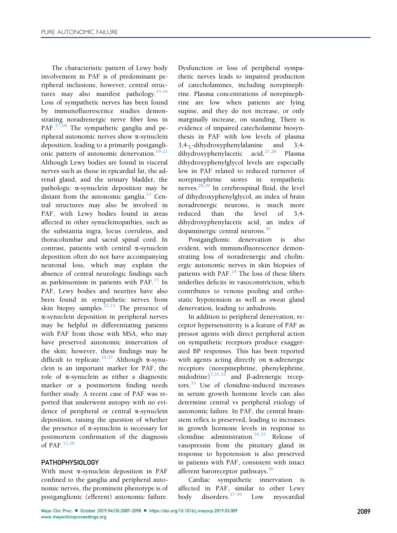The characteristic pattern of Lewy body involvement in PAF is of predominant peripheral inclusions; however, central struc-tures may also manifest pathology.<sup>[15,16](#page-10-0)</sup> Loss of sympathetic nerves has been found by immunofluorescence studies demonstrating noradrenergic nerve fiber loss in PAF.<sup>[17,18](#page-10-0)</sup> The sympathetic ganglia and peripheral autonomic nerves show a-synuclein deposition, leading to a primarily postgangli-onic pattern of autonomic denervation.<sup>[19-21](#page-10-0)</sup> Although Lewy bodies are found in visceral nerves such as those in epicardial fat, the adrenal gland, and the urinary bladder, the pathologic a-synuclein deposition may be distant from the autonomic ganglia. $15$  Central structures may also be involved in PAF, with Lewy bodies found in areas affected in other synucleinopathies, such as the substantia nigra, locus coeruleus, and thoracolumbar and sacral spinal cord. In contrast, patients with central  $\alpha$ -synuclein deposition often do not have accompanying neuronal loss, which may explain the absence of central neurologic findings such as parkinsonism in patients with PAF. $^{15}$  $^{15}$  $^{15}$  In PAF, Lewy bodies and neurites have also been found in sympathetic nerves from skin biopsy samples.<sup>[22,23](#page-10-0)</sup> The presence of a-synuclein deposition in peripheral nerves may be helpful in differentiating patients with PAF from those with MSA, who may have preserved autonomic innervation of the skin; however, these findings may be difficult to replicate.<sup>[24,25](#page-10-0)</sup> Although  $\alpha$ -synuclein is an important marker for PAF, the role of  $\alpha$ -synuclein as either a diagnostic marker or a postmortem finding needs further study. A recent case of PAF was reported that underwent autopsy with no evidence of peripheral or central a-synuclein deposition, raising the question of whether the presence of  $\alpha$ -synuclein is necessary for postmortem confirmation of the diagnosis of PAF $^{12,26}$  $^{12,26}$  $^{12,26}$ 

# PATHOPHYSIOLOGY

With most a-synuclein deposition in PAF confined to the ganglia and peripheral autonomic nerves, the prominent phenotype is of postganglionic (efferent) autonomic failure.

Dysfunction or loss of peripheral sympathetic nerves leads to impaired production of catecholamines, including norepinephrine. Plasma concentrations of norepinephrine are low when patients are lying supine, and they do not increase, or only marginally increase, on standing. There is evidence of impaired catecholamine biosynthesis in PAF with low levels of plasma  $3,4$ -<sub>L</sub>-dihydroxyphenylalanine and  $3,4$ -dihydroxyphenylacetic acid.<sup>27,28</sup> Plasma dihydroxyphenylacetic acid.<sup>[27,28](#page-10-0)</sup> dihydroxyphenylglycol levels are especially low in PAF related to reduced turnover of norepinephrine stores in sympathetic nerves.[28,29](#page-10-0) In cerebrospinal fluid, the level of dihydroxyphenylglycol, an index of brain noradrenergic neurons, is much more reduced than the level of 3,4 dihydroxyphenylacetic acid, an index of dopaminergic central neurons.<sup>[30](#page-10-0)</sup>

Postganglionic denervation is also evident, with immunofluorescence demonstrating loss of noradrenergic and cholinergic autonomic nerves in skin biopsies of patients with PAF. $^{24}$  $^{24}$  $^{24}$  The loss of these fibers underlies deficits in vasoconstriction, which contributes to venous pooling and orthostatic hypotension as well as sweat gland denervation, leading to anhidrosis.

In addition to peripheral denervation, receptor hypersensitivity is a feature of PAF as pressor agents with direct peripheral action on sympathetic receptors produce exaggerated BP responses. This has been reported with agents acting directly on  $\alpha$ -adrenergic receptors (norepinephrine, phenylephrine, midodrine) $5,31,32$  and  $\beta$ -adrenergic recep-tors.<sup>[33](#page-10-0)</sup> Use of clonidine-induced increases in serum growth hormone levels can also determine central vs peripheral etiology of autonomic failure. In PAF, the central brainstem reflex is preserved, leading to increases in growth hormone levels in response to clonidine administration.[34,35](#page-10-0) Release of vasopressin from the pituitary gland in response to hypotension is also preserved in patients with PAF, consistent with intact afferent baroreceptor pathways.<sup>[36](#page-10-0)</sup>

Cardiac sympathetic innervation is affected in PAF, similar to other Lewy body disorders.[37-39](#page-10-0) Low myocardial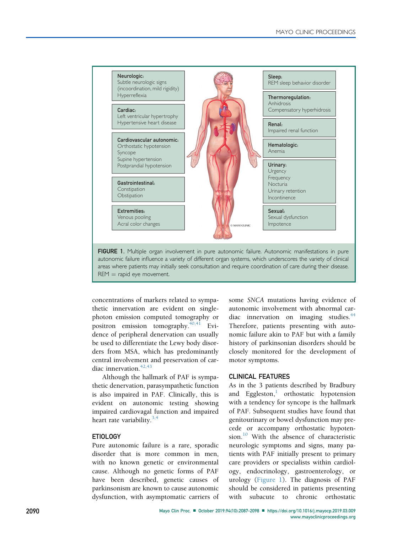

concentrations of markers related to sympathetic innervation are evident on singlephoton emission computed tomography or positron emission tomography. $40,41$  Evidence of peripheral denervation can usually be used to differentiate the Lewy body disorders from MSA, which has predominantly central involvement and preservation of car-diac innervation.<sup>[42,43](#page-10-0)</sup>

Although the hallmark of PAF is sympathetic denervation, parasympathetic function is also impaired in PAF. Clinically, this is evident on autonomic testing showing impaired cardiovagal function and impaired heart rate variability. $3,4$ 

## ETIOLOGY

Pure autonomic failure is a rare, sporadic disorder that is more common in men, with no known genetic or environmental cause. Although no genetic forms of PAF have been described, genetic causes of parkinsonism are known to cause autonomic dysfunction, with asymptomatic carriers of some SNCA mutations having evidence of autonomic involvement with abnormal car-diac innervation on imaging studies.<sup>[44](#page-10-0)</sup> Therefore, patients presenting with autonomic failure akin to PAF but with a family history of parkinsonian disorders should be closely monitored for the development of motor symptoms.

## CLINICAL FEATURES

As in the 3 patients described by Bradbury and Eggleston, $\frac{1}{1}$  $\frac{1}{1}$  $\frac{1}{1}$  orthostatic hypotension with a tendency for syncope is the hallmark of PAF. Subsequent studies have found that genitourinary or bowel dysfunction may precede or accompany orthostatic hypoten-sion.<sup>[10](#page-10-0)</sup> With the absence of characteristic neurologic symptoms and signs, many patients with PAF initially present to primary care providers or specialists within cardiology, endocrinology, gastroenterology, or urology (Figure 1). The diagnosis of PAF should be considered in patients presenting with subacute to chronic orthostatic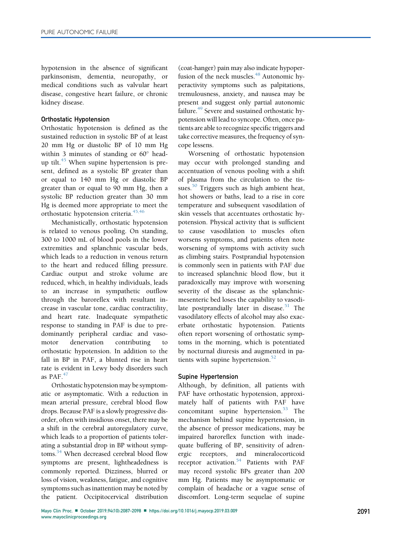hypotension in the absence of significant parkinsonism, dementia, neuropathy, or medical conditions such as valvular heart disease, congestive heart failure, or chronic kidney disease.

# Orthostatic Hypotension

Orthostatic hypotension is defined as the sustained reduction in systolic BP of at least 20 mm Hg or diastolic BP of 10 mm Hg within 3 minutes of standing or  $60^{\circ}$  headup tilt. $45$  When supine hypertension is present, defined as a systolic BP greater than or equal to 140 mm Hg or diastolic BP greater than or equal to 90 mm Hg, then a systolic BP reduction greater than 30 mm Hg is deemed more appropriate to meet the orthostatic hypotension criteria.<sup>[45,46](#page-10-0)</sup>

Mechanistically, orthostatic hypotension is related to venous pooling. On standing, 300 to 1000 mL of blood pools in the lower extremities and splanchnic vascular beds, which leads to a reduction in venous return to the heart and reduced filling pressure. Cardiac output and stroke volume are reduced, which, in healthy individuals, leads to an increase in sympathetic outflow through the baroreflex with resultant increase in vascular tone, cardiac contractility, and heart rate. Inadequate sympathetic response to standing in PAF is due to predominantly peripheral cardiac and vasomotor denervation contributing to orthostatic hypotension. In addition to the fall in BP in PAF, a blunted rise in heart rate is evident in Lewy body disorders such as PAF. $47$ 

Orthostatic hypotension may be symptomatic or asymptomatic. With a reduction in mean arterial pressure, cerebral blood flow drops. Because PAF is a slowly progressive disorder, often with insidious onset, there may be a shift in the cerebral autoregulatory curve, which leads to a proportion of patients tolerating a substantial drop in BP without symptoms.<sup>34</sup> When decreased cerebral blood flow symptoms are present, lightheadedness is commonly reported. Dizziness, blurred or loss of vision, weakness, fatigue, and cognitive symptoms such as inattention may be noted by the patient. Occipitocervical distribution

(coat-hanger) pain may also indicate hypoperfusion of the neck muscles.<sup>48</sup> Autonomic hyperactivity symptoms such as palpitations, tremulousness, anxiety, and nausea may be present and suggest only partial autonomic failure.<sup>[49](#page-11-0)</sup> Severe and sustained orthostatic hypotension will lead to syncope. Often, once patients are able to recognize specific triggers and take corrective measures, the frequency of syncope lessens.

Worsening of orthostatic hypotension may occur with prolonged standing and accentuation of venous pooling with a shift of plasma from the circulation to the tissues. $50$  Triggers such as high ambient heat, hot showers or baths, lead to a rise in core temperature and subsequent vasodilation of skin vessels that accentuates orthostatic hypotension. Physical activity that is sufficient to cause vasodilation to muscles often worsens symptoms, and patients often note worsening of symptoms with activity such as climbing stairs. Postprandial hypotension is commonly seen in patients with PAF due to increased splanchnic blood flow, but it paradoxically may improve with worsening severity of the disease as the splanchnicmesenteric bed loses the capability to vasodi-late postprandially later in disease.<sup>[51](#page-11-0)</sup> The vasodilatory effects of alcohol may also exacerbate orthostatic hypotension. Patients often report worsening of orthostatic symptoms in the morning, which is potentiated by nocturnal diuresis and augmented in pa-tients with supine hypertension.<sup>[52](#page-11-0)</sup>

# Supine Hypertension

Although, by definition, all patients with PAF have orthostatic hypotension, approximately half of patients with PAF have concomitant supine hypertension.<sup>[53](#page-11-0)</sup> The mechanism behind supine hypertension, in the absence of pressor medications, may be impaired baroreflex function with inadequate buffering of BP, sensitivity of adrenergic receptors, and mineralocorticoid receptor activation.<sup>[54](#page-11-0)</sup> Patients with PAF may record systolic BPs greater than 200 mm Hg. Patients may be asymptomatic or complain of headache or a vague sense of discomfort. Long-term sequelae of supine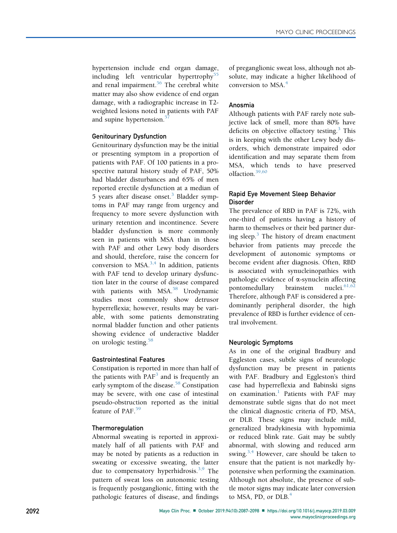hypertension include end organ damage, including left ventricular hypertrophy<sup>[55](#page-11-0)</sup> and renal impairment.<sup>[56](#page-11-0)</sup> The cerebral white matter may also show evidence of end organ damage, with a radiographic increase in T2 weighted lesions noted in patients with PAF and supine hypertension.<sup>[57](#page-11-0)</sup>

# Genitourinary Dysfunction

Genitourinary dysfunction may be the initial or presenting symptom in a proportion of patients with PAF. Of 100 patients in a prospective natural history study of PAF, 50% had bladder disturbances and 65% of men reported erectile dysfunction at a median of 5 years after disease onset.<sup>[3](#page-10-0)</sup> Bladder symptoms in PAF may range from urgency and frequency to more severe dysfunction with urinary retention and incontinence. Severe bladder dysfunction is more commonly seen in patients with MSA than in those with PAF and other Lewy body disorders and should, therefore, raise the concern for conversion to MSA. $^{3,4}$  $^{3,4}$  $^{3,4}$  In addition, patients with PAF tend to develop urinary dysfunction later in the course of disease compared with patients with MSA.<sup>[58](#page-11-0)</sup> Urodynamic studies most commonly show detrusor hyperreflexia; however, results may be variable, with some patients demonstrating normal bladder function and other patients showing evidence of underactive bladder on urologic testing.<sup>[58](#page-11-0)</sup>

# Gastrointestinal Features

Constipation is reported in more than half of the patients with  $PAF<sup>3</sup>$  $PAF<sup>3</sup>$  $PAF<sup>3</sup>$  and is frequently an early symptom of the disease.<sup>[58](#page-11-0)</sup> Constipation may be severe, with one case of intestinal pseudo-obstruction reported as the initial feature of PAF.<sup>[59](#page-11-0)</sup>

# Thermoregulation

Abnormal sweating is reported in approximately half of all patients with PAF and may be noted by patients as a reduction in sweating or excessive sweating, the latter due to compensatory hyperhidrosis.<sup>[3,9](#page-10-0)</sup> The pattern of sweat loss on autonomic testing is frequently postganglionic, fitting with the pathologic features of disease, and findings of preganglionic sweat loss, although not absolute, may indicate a higher likelihood of conversion to MSA.[4](#page-10-0)

# Anosmia

Although patients with PAF rarely note subjective lack of smell, more than 80% have deficits on objective olfactory testing.<sup>[3](#page-10-0)</sup> This is in keeping with the other Lewy body disorders, which demonstrate impaired odor identification and may separate them from MSA, which tends to have preserved olfaction.[39,60](#page-10-0)

# Rapid Eye Movement Sleep Behavior Disorder

The prevalence of RBD in PAF is 72%, with one-third of patients having a history of harm to themselves or their bed partner dur-ing sleep.<sup>[3](#page-10-0)</sup> The history of dream enactment behavior from patients may precede the development of autonomic symptoms or become evident after diagnosis. Often, RBD is associated with synucleinopathies with pathologic evidence of  $\alpha$ -synuclein affecting<br>pontomedullary brainstem nuclei  $61,62$ pontomedullary brainstem Therefore, although PAF is considered a predominantly peripheral disorder, the high prevalence of RBD is further evidence of central involvement.

# Neurologic Symptoms

As in one of the original Bradbury and Eggleston cases, subtle signs of neurologic dysfunction may be present in patients with PAF. Bradbury and Eggleston's third case had hyperreflexia and Babinski signs on examination.<sup>[1](#page-9-0)</sup> Patients with PAF may demonstrate subtle signs that do not meet the clinical diagnostic criteria of PD, MSA, or DLB. These signs may include mild, generalized bradykinesia with hypomimia or reduced blink rate. Gait may be subtly abnormal, with slowing and reduced arm swing.<sup>[3,4](#page-10-0)</sup> However, care should be taken to ensure that the patient is not markedly hypotensive when performing the examination. Although not absolute, the presence of subtle motor signs may indicate later conversion to MSA, PD, or  $DLB<sup>4</sup>$  $DLB<sup>4</sup>$  $DLB<sup>4</sup>$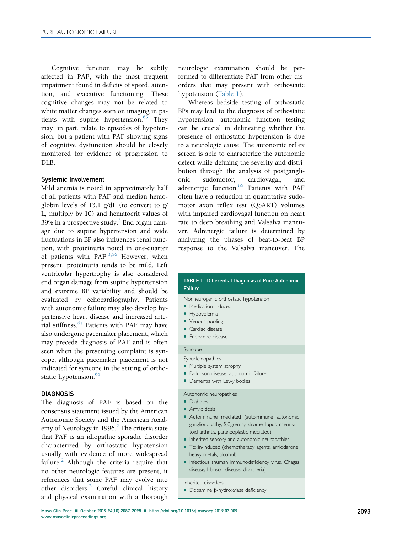Cognitive function may be subtly affected in PAF, with the most frequent impairment found in deficits of speed, attention, and executive functioning. These cognitive changes may not be related to white matter changes seen on imaging in patients with supine hypertension. $63$  They may, in part, relate to episodes of hypotension, but a patient with PAF showing signs of cognitive dysfunction should be closely monitored for evidence of progression to DLB.

### Systemic Involvement

Mild anemia is noted in approximately half of all patients with PAF and median hemoglobin levels of 13.1 g/dL (to convert to g/ L, multiply by 10) and hematocrit values of [3](#page-10-0)9% in a prospective study.<sup>3</sup> End organ damage due to supine hypertension and wide fluctuations in BP also influences renal function, with proteinuria noted in one-quarter of patients with PAF. $3,56$  However, when present, proteinuria tends to be mild. Left ventricular hypertrophy is also considered end organ damage from supine hypertension and extreme BP variability and should be evaluated by echocardiography. Patients with autonomic failure may also develop hypertensive heart disease and increased arterial stiffness.<sup>64</sup> Patients with PAF may have also undergone pacemaker placement, which may precede diagnosis of PAF and is often seen when the presenting complaint is syncope, although pacemaker placement is not indicated for syncope in the setting of ortho-static hypotension.<sup>[65](#page-11-0)</sup>

# **DIAGNOSIS**

The diagnosis of PAF is based on the consensus statement issued by the American Autonomic Society and the American Academy of Neurology in 1996. $<sup>2</sup>$  $<sup>2</sup>$  $<sup>2</sup>$  The criteria state</sup> that PAF is an idiopathic sporadic disorder characterized by orthostatic hypotension usually with evidence of more widespread failure. $<sup>2</sup>$  $<sup>2</sup>$  $<sup>2</sup>$  Although the criteria require that</sup> no other neurologic features are present, it references that some PAF may evolve into other disorders.<sup>[2](#page-10-0)</sup> Careful clinical history and physical examination with a thorough

neurologic examination should be performed to differentiate PAF from other disorders that may present with orthostatic hypotension (Table 1).

Whereas bedside testing of orthostatic BPs may lead to the diagnosis of orthostatic hypotension, autonomic function testing can be crucial in delineating whether the presence of orthostatic hypotension is due to a neurologic cause. The autonomic reflex screen is able to characterize the autonomic defect while defining the severity and distribution through the analysis of postganglionic sudomotor, cardiovagal, and adrenergic function.<sup>[66](#page-11-0)</sup> Patients with PAF often have a reduction in quantitative sudomotor axon reflex test (QSART) volumes with impaired cardiovagal function on heart rate to deep breathing and Valsalva maneuver. Adrenergic failure is determined by analyzing the phases of beat-to-beat BP response to the Valsalva maneuver. The

#### TABLE 1. Differential Diagnosis of Pure Autonomic Failure

- Nonneurogenic orthostatic hypotension
- Medication induced
- · Hypovolemia
- Venous pooling
- Cardiac disease
- **•** Endocrine disease

# Syncope

- Synucleinopathies
- Multiple system atrophy
- · Parkinson disease, autonomic failure
- Dementia with Lewy bodies

#### Autonomic neuropathies

- Diabetes
- · Amyloidosis
- Autoimmune mediated (autoimmune autonomic ganglionopathy, Sjögren syndrome, lupus, rheumatoid arthritis, paraneoplastic mediated)
- Inherited sensory and autonomic neuropathies
- Toxin-induced (chemotherapy agents, amiodarone, heavy metals, alcohol)
- Infectious (human immunodeficiency virus, Chagas disease, Hanson disease, diphtheria)

#### Inherited disorders

 $\bullet$  Dopamine  $\beta$ -hydroxylase deficiency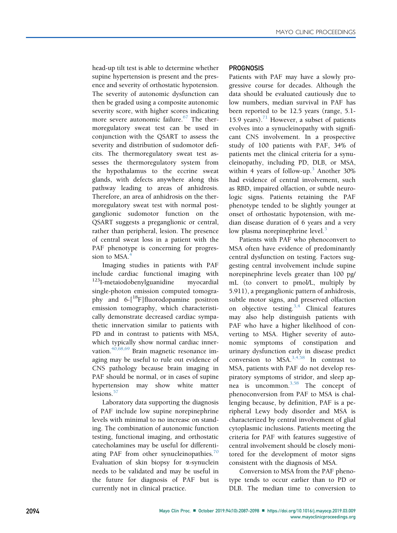head-up tilt test is able to determine whether supine hypertension is present and the presence and severity of orthostatic hypotension. The severity of autonomic dysfunction can then be graded using a composite autonomic severity score, with higher scores indicating more severe autonomic failure. $67$  The thermoregulatory sweat test can be used in conjunction with the QSART to assess the severity and distribution of sudomotor deficits. The thermoregulatory sweat test assesses the thermoregulatory system from the hypothalamus to the eccrine sweat glands, with defects anywhere along this pathway leading to areas of anhidrosis. Therefore, an area of anhidrosis on the thermoregulatory sweat test with normal postganglionic sudomotor function on the QSART suggests a preganglionic or central, rather than peripheral, lesion. The presence of central sweat loss in a patient with the PAF phenotype is concerning for progres-sion to MSA.<sup>[4](#page-10-0)</sup>

Imaging studies in patients with PAF include cardiac functional imaging with <sup>123</sup>I-metaiodobenylguanidine myocardial single-photon emission computed tomography and  $6-[^{18}F]$ fluorodopamine positron emission tomography, which characteristically demonstrate decreased cardiac sympathetic innervation similar to patients with PD and in contrast to patients with MSA, which typically show normal cardiac inner-vation.<sup>[40,68,69](#page-10-0)</sup> Brain magnetic resonance imaging may be useful to rule out evidence of CNS pathology because brain imaging in PAF should be normal, or in cases of supine hypertension may show white matter lesions.<sup>[57](#page-11-0)</sup>

Laboratory data supporting the diagnosis of PAF include low supine norepinephrine levels with minimal to no increase on standing. The combination of autonomic function testing, functional imaging, and orthostatic catecholamines may be useful for differenti-ating PAF from other synucleinopathies.<sup>[70](#page-11-0)</sup> Evaluation of skin biopsy for  $\alpha$ -synuclein needs to be validated and may be useful in the future for diagnosis of PAF but is currently not in clinical practice.

# **PROGNOSIS**

Patients with PAF may have a slowly progressive course for decades. Although the data should be evaluated cautiously due to low numbers, median survival in PAF has been reported to be 12.5 years (range, 5.1- 15.9 years). $71$  However, a subset of patients evolves into a synucleinopathy with significant CNS involvement. In a prospective study of 100 patients with PAF, 34% of patients met the clinical criteria for a synucleinopathy, including PD, DLB, or MSA, within 4 years of follow-up.<sup>[3](#page-10-0)</sup> Another  $30\%$ had evidence of central involvement, such as RBD, impaired olfaction, or subtle neurologic signs. Patients retaining the PAF phenotype tended to be slightly younger at onset of orthostatic hypotension, with median disease duration of 6 years and a very low plasma norepinephrine level. $3$ 

Patients with PAF who phenoconvert to MSA often have evidence of predominantly central dysfunction on testing. Factors suggesting central involvement include supine norepinephrine levels greater than 100 pg/ mL (to convert to pmol/L, multiply by 5.911), a preganglionic pattern of anhidrosis, subtle motor signs, and preserved olfaction on objective testing.<sup>[3,4](#page-10-0)</sup> Clinical features may also help distinguish patients with PAF who have a higher likelihood of converting to MSA. Higher severity of autonomic symptoms of constipation and urinary dysfunction early in disease predict conversion to MSA.[3,4,58](#page-10-0) In contrast to MSA, patients with PAF do not develop respiratory symptoms of stridor, and sleep apnea is uncommon. $3,58$  The concept of phenoconversion from PAF to MSA is challenging because, by definition, PAF is a peripheral Lewy body disorder and MSA is characterized by central involvement of glial cytoplasmic inclusions. Patients meeting the criteria for PAF with features suggestive of central involvement should be closely monitored for the development of motor signs consistent with the diagnosis of MSA.

Conversion to MSA from the PAF phenotype tends to occur earlier than to PD or DLB. The median time to conversion to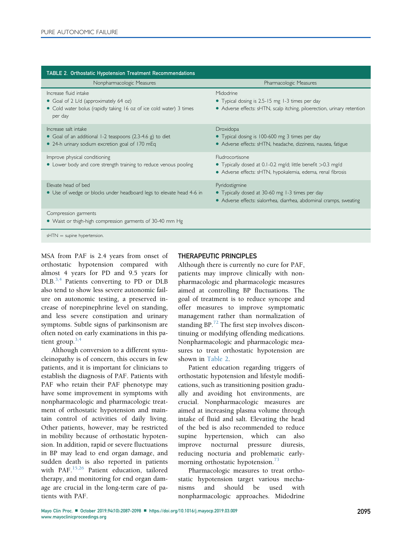| <b>TABLE 2. Orthostatic Hypotension Treatment Recommendations</b>                                                                                |                                                                                                                                                 |
|--------------------------------------------------------------------------------------------------------------------------------------------------|-------------------------------------------------------------------------------------------------------------------------------------------------|
| Nonpharmacologic Measures                                                                                                                        | Pharmacologic Measures                                                                                                                          |
| Increase fluid intake<br>• Goal of 2 L/d (approximately 64 oz)<br>• Cold water bolus (rapidly taking 16 oz of ice cold water) 3 times<br>per day | Midodrine<br>• Typical dosing is 2.5-15 mg 1-3 times per day<br>• Adverse effects: sHTN, scalp itching, piloerection, urinary retention         |
| Increase salt intake<br>• Goal of an additional 1-2 teaspoons (2.3-4.6 g) to diet<br>• 24-h urinary sodium excretion goal of 170 mEq             | Droxidopa<br>• Typical dosing is 100-600 mg 3 times per day<br>• Adverse effects: sHTN, headache, dizziness, nausea, fatigue                    |
| Improve physical conditioning<br>• Lower body and core strength training to reduce venous pooling                                                | Fludrocortisone<br>• Typically dosed at 0.1-0.2 mg/d; little benefit $>0.3$ mg/d<br>• Adverse effects: sHTN, hypokalemia, edema, renal fibrosis |
| Flevate head of bed<br>• Use of wedge or blocks under headboard legs to elevate head 4-6 in                                                      | Pyridostigmine<br>• Typically dosed at 30-60 mg 1-3 times per day<br>• Adverse effects: sialorrhea, diarrhea, abdominal cramps, sweating        |
| Compression garments<br>• Waist or thigh-high compression garments of 30-40 mm Hg                                                                |                                                                                                                                                 |

 $sHTN =$  supine hypertension.

MSA from PAF is 2.4 years from onset of orthostatic hypotension compared with almost 4 years for PD and 9.5 years for DLB.<sup>[3,4](#page-10-0)</sup> Patients converting to PD or DLB also tend to show less severe autonomic failure on autonomic testing, a preserved increase of norepinephrine level on standing, and less severe constipation and urinary symptoms. Subtle signs of parkinsonism are often noted on early examinations in this patient group.[3,4](#page-10-0)

Although conversion to a different synucleinopathy is of concern, this occurs in few patients, and it is important for clinicians to establish the diagnosis of PAF. Patients with PAF who retain their PAF phenotype may have some improvement in symptoms with nonpharmacologic and pharmacologic treatment of orthostatic hypotension and maintain control of activities of daily living. Other patients, however, may be restricted in mobility because of orthostatic hypotension. In addition, rapid or severe fluctuations in BP may lead to end organ damage, and sudden death is also reported in patients with PAF. $15,26$  Patient education, tailored therapy, and monitoring for end organ damage are crucial in the long-term care of patients with PAF.

# THERAPEUTIC PRINCIPLES

Although there is currently no cure for PAF, patients may improve clinically with nonpharmacologic and pharmacologic measures aimed at controlling BP fluctuations. The goal of treatment is to reduce syncope and offer measures to improve symptomatic management rather than normalization of standing BP.<sup>[72](#page-11-0)</sup> The first step involves discontinuing or modifying offending medications. Nonpharmacologic and pharmacologic measures to treat orthostatic hypotension are shown in Table 2.

Patient education regarding triggers of orthostatic hypotension and lifestyle modifications, such as transitioning position gradually and avoiding hot environments, are crucial. Nonpharmacologic measures are aimed at increasing plasma volume through intake of fluid and salt. Elevating the head of the bed is also recommended to reduce supine hypertension, which can also improve nocturnal pressure diuresis, reducing nocturia and problematic early-morning orthostatic hypotension.<sup>[73](#page-11-0)</sup>

Pharmacologic measures to treat orthostatic hypotension target various mechanisms and should be used with nonpharmacologic approaches. Midodrine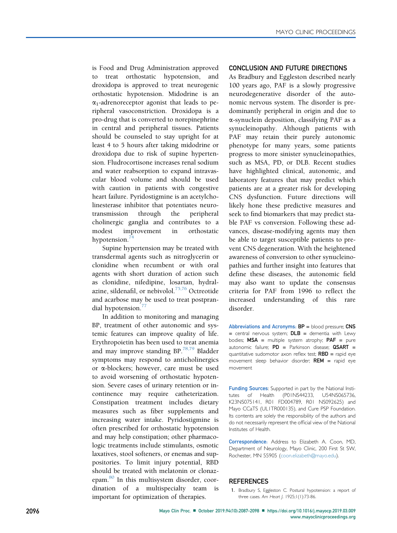<span id="page-9-0"></span>is Food and Drug Administration approved to treat orthostatic hypotension, and droxidopa is approved to treat neurogenic orthostatic hypotension. Midodrine is an  $\alpha_1$ -adrenoreceptor agonist that leads to peripheral vasoconstriction. Droxidopa is a pro-drug that is converted to norepinephrine in central and peripheral tissues. Patients should be counseled to stay upright for at least 4 to 5 hours after taking midodrine or droxidopa due to risk of supine hypertension. Fludrocortisone increases renal sodium and water reabsorption to expand intravascular blood volume and should be used with caution in patients with congestive heart failure. Pyridostigmine is an acetylcholinesterase inhibitor that potentiates neurotransmission through the peripheral cholinergic ganglia and contributes to a modest improvement in orthostatic hypotension. $14$ 

Supine hypertension may be treated with transdermal agents such as nitroglycerin or clonidine when recumbent or with oral agents with short duration of action such as clonidine, nifedipine, losartan, hydral-azine, sildenafil, or nebivolol.<sup>[75,76](#page-11-0)</sup> Octreotide and acarbose may be used to treat postpran-dial hypotension.<sup>[77](#page-11-0)</sup>

In addition to monitoring and managing BP, treatment of other autonomic and systemic features can improve quality of life. Erythropoietin has been used to treat anemia and may improve standing BP.[78,79](#page-11-0) Bladder symptoms may respond to anticholinergics or a-blockers; however, care must be used to avoid worsening of orthostatic hypotension. Severe cases of urinary retention or incontinence may require catheterization. Constipation treatment includes dietary measures such as fiber supplements and increasing water intake. Pyridostigmine is often prescribed for orthostatic hypotension and may help constipation; other pharmacologic treatments include stimulants, osmotic laxatives, stool softeners, or enemas and suppositories. To limit injury potential, RBD should be treated with melatonin or clonazepam.[80](#page-11-0) In this multisystem disorder, coordination of a multispecialty team is important for optimization of therapies.

# CONCLUSION AND FUTURE DIRECTIONS

As Bradbury and Eggleston described nearly 100 years ago, PAF is a slowly progressive neurodegenerative disorder of the autonomic nervous system. The disorder is predominantly peripheral in origin and due to a-synuclein deposition, classifying PAF as a synucleinopathy. Although patients with PAF may retain their purely autonomic phenotype for many years, some patients progress to more sinister synucleinopathies, such as MSA, PD, or DLB. Recent studies have highlighted clinical, autonomic, and laboratory features that may predict which patients are at a greater risk for developing CNS dysfunction. Future directions will likely hone these predictive measures and seek to find biomarkers that may predict stable PAF vs conversion. Following these advances, disease-modifying agents may then be able to target susceptible patients to prevent CNS degeneration. With the heightened awareness of conversion to other synucleinopathies and further insight into features that define these diseases, the autonomic field may also want to update the consensus criteria for PAF from 1996 to reflect the increased understanding of this rare disorder.

Abbreviations and Acronyms: BP = blood pressure; CNS  $=$  central nervous system;  $DLB =$  dementia with Lewy bodies;  $MSA$  = multiple system atrophy;  $PAF$  = pure autonomic failure; PD = Parkinson disease; QSART = quantitative sudomotor axon reflex test;  $RBD$  = rapid eye movement sleep behavior disorder;  $REM =$  rapid eye movement

Funding Sources: Supported in part by the National Institutes of Health (P01NS44233, U54NS065736, K23NS075141, R01 FD004789, R01 NS092625) and Mayo CCaTS (UL1TR000135), and Cure PSP Foundation. Its contents are solely the responsibility of the authors and do not necessarily represent the official view of the National Institutes of Health.

Correspondence: Address to Elizabeth A. Coon, MD, Department of Neurology, Mayo Clinic, 200 First St SW, Rochester, MN 55905 ([coon.elizabeth@mayo.edu](mailto:coon.elizabeth@mayo.edu)).

## **REFERENCES**

1. Bradbury S, Eggleston C. Postural hypotension: a report of three cases. Am Heart J. 1925;1(1):73-86.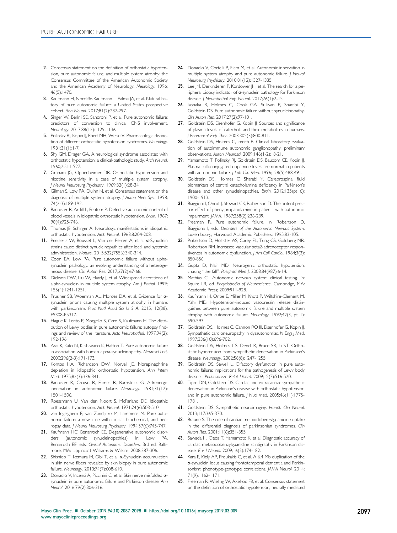- <span id="page-10-0"></span>2. Consensus statement on the definition of orthostatic hypotension, pure autonomic failure, and multiple system atrophy: the Consensus Committee of the American Autonomic Society and the American Academy of Neurology. Neurology. 1996; 46(5):1470.
- 3. Kaufmann H, Norcliffe-Kaufmann L, Palma JA, et al. Natural history of pure autonomic failure: a United States prospective cohort. Ann Neurol. 2017;81(2):287-297.
- 4. Singer W, Berini SE, Sandroni P, et al. Pure autonomic failure: predictors of conversion to clinical CNS involvement. Neurology. 2017;88(12):1129-1136.
- 5. Polinsky RJ, Kopin IJ, Ebert MH, Weise V. Pharmacologic distinction of different orthostatic hypotension syndromes. Neurology. 1981;31(1):1-7.
- 6. Shy GM, Drager GA. A neurological syndrome associated with orthostatic hypotension: a clinical-pathologic study. Arch Neurol. 1960;2:511-527.
- 7. Graham JG, Oppenheimer DR. Orthostatic hypotension and nicotine sensitivity in a case of multiple system atrophy. J Neurol Neurosurg Psychiatry. 1969;32(1):28-34.
- 8. Gilman S, Low PA, Quinn N, et al. Consensus statement on the diagnosis of multiple system atrophy. J Auton Nerv Syst. 1998; 74(2-3):189-192.
- 9. Bannister R, Ardill L, Fentem P. Defective autonomic control of blood vessels in idiopathic orthostatic hypotension. Brain. 1967; 90(4):725-746.
- 10. Thomas JE, Schirger A. Neurologic manifestations in idiopathic orthostatic hypotension. Arch Neurol. 1963;8:204-208.
- 11. Peelaerts W, Bousset L, Van der Perren A, et al. a-Synuclein strains cause distinct synucleinopathies after local and systemic administration. Nature. 2015;522(7556):340-344.
- 12. Coon EA, Low PA. Pure autonomic failure without alphasynuclein pathology: an evolving understanding of a heterogeneous disease. Clin Auton Res. 2017;27(2):67-68.
- 13. Dickson DW, Liu W, Hardy J, et al. Widespread alterations of alpha-synuclein in multiple system atrophy. Am J Pathol. 1999; 155(4):1241-1251.
- 14. Prusiner SB, Woerman AL, Mordes DA, et al. Evidence for  $\alpha$ synuclein prions causing multiple system atrophy in humans with parkinsonism. Proc Natl Acad Sci U S A. 2015;112(38): E5308-E5317.
- 15. Hague K, Lento P, Morgello S, Caro S, Kaufmann H. The distribution of Lewy bodies in pure autonomic failure: autopsy findings and review of the literature. Acta Neuropathol. 1997;94(2): 192-196.
- 16. Arai K, Kato N, Kashiwado K, Hattori T. Pure autonomic failure in association with human alpha-synucleinopathy. Neurosci Lett. 2000;296(2-3):171-173.
- 17. Kontos HA, Richardson DW, Norvell JE. Norepinephrine depletion in idiopathic orthostatic hypotension. Ann Intern Med. 1975;82(3):336-341.
- 18. Bannister R, Crowe R, Eames R, Burnstock G. Adrenergic innervation in autonomic failure. Neurology. 1981;31(12): 1501-1506.
- 19. Roessmann U, Van den Noort S, McFarland DE. Idiopathic orthostatic hypotension. Arch Neurol. 1971;24(6):503-510.
- 20. van Ingelghem E, van Zandijcke M, Lammens M. Pure autonomic failure: a new case with clinical, biochemical, and necropsy data. J Neurol Neurosurg Psychiatry. 1994;57(6):745-747.
- 21. Kaufmann HC, Benarroch EE. Degenerative autonomic disorders (autonomic synucleinopathies). In: Low PA, Benarroch EE, eds. Clinical Autonomic Disorders. 3rd ed. Baltimore, MA: Lippincott Williams & Wilkins; 2008:287-306.
- 22. Shishido T, Ikemura M, Obi T, et al. a-Synuclein accumulation in skin nerve fibers revealed by skin biopsy in pure autonomic failure. Neurology. 2010;74(7):608-610.
- 23. Donadio V, Incensi A, Piccinini C, et al. Skin nerve misfolded  $\alpha$ synuclein in pure autonomic failure and Parkinson disease. Ann Neurol. 2016;79(2):306-316.
- 24. Donadio V, Cortelli P, Elam M, et al. Autonomic innervation in multiple system atrophy and pure autonomic failure. *| Neurol* Neurosurg Psychiatry. 2010;81(12):1327-1335.
- 25. Lee JM, Derkinderen P, Kordower JH, et al. The search for a peripheral biopsy indicator of  $\alpha$ -synuclein pathology for Parkinson disease. J Neuropathol Exp Neurol. 2017;76(1):2-15.
- 26. Isonaka R, Holmes C, Cook GA, Sullivan P, Sharabi Y, Goldstein DS. Pure autonomic failure without synucleinopathy. Clin Auton Res. 2017;27(2):97-101.
- 27. Goldstein DS, Eisenhofer G, Kopin IJ. Sources and significance of plasma levels of catechols and their metabolites in humans. J Pharmacol Exp Ther. 2003;305(3):800-811.
- 28. Goldstein DS, Holmes C, Imrich R. Clinical laboratory evaluation of autoimmune autonomic ganglionopathy: preliminary observations. Auton Neurosci. 2009;146(1-2):18-21.
- 29. Yamamoto T, Polinsky RJ, Goldstein DS, Baucom CE, Kopin IJ. Plasma sulfoconjugated dopamine levels are normal in patients with autonomic failure. J Lab Clin Med. 1996;128(5):488-491.
- 30. Goldstein DS, Holmes C, Sharabi Y. Cerebrospinal fluid biomarkers of central catecholamine deficiency in Parkinson's disease and other synucleinopathies. Brain. 2012;135(pt 6): 1900-1913.
- 31. Biaggioni I, Onrot J, Stewart CK, Robertson D. The potent pressor effect of phenylpropanolamine in patients with autonomic impairment. JAMA. 1987;258(2):236-239.
- 32. Freeman R. Pure autonomic failure. In: Robertson D, Biaggiona I, eds. Disorders of the Autonomic Nervous System. Luxembourg: Harwood Academic Publishers; 1995:83-105.
- 33. Robertson D, Hollister AS, Carey EL, Tung CS, Goldberg MR, Robertson RM. Increased vascular beta2-adrenoceptor responsiveness in autonomic dysfunction. J Am Coll Cardiol. 1984;3(3): 850-856.
- 34. Gupta D, Nair MD. Neurogenic orthostatic hypotension: chasing "the fall". Postgrad Med J. 2008;84(987):6-14.
- 35. Mathias CJ. Autonomic nervous system: clinical testing. In: Squire LR, ed. Encyclopedia of Neuroscience. Cambridge, MA: Academic Press; 2009:911-928.
- 36. Kaufmann H, Oribe E, Miller M, Knott P, Wiltshire-Clement M, Yahr MD. Hypotension-induced vasopressin release distinguishes between pure autonomic failure and multiple system atrophy with autonomic failure. Neurology. 1992;42(3, pt 1): 590-593.
- 37. Goldstein DS, Holmes C, Cannon RO III, Eisenhofer G, Kopin IJ. Sympathetic cardioneuropathy in dysautonomias. N Engl J Med. 1997;336(10):696-702.
- 38. Goldstein DS, Holmes CS, Dendi R, Bruce SR, Li ST. Orthostatic hypotension from sympathetic denervation in Parkinson's disease. Neurology. 2002;58(8):1247-1255.
- 39. Goldstein DS, Sewell L. Olfactory dysfunction in pure autonomic failure: implications for the pathogenesis of Lewy body diseases. Parkinsonism Relat Disord. 2009;15(7):516-520.
- 40. Tipre DN, Goldstein DS. Cardiac and extracardiac sympathetic denervation in Parkinson's disease with orthostatic hypotension and in pure autonomic failure. | Nucl Med. 2005;46(11):1775-1781.
- 41. Goldstein DS. Sympathetic neuroimaging. Handb Clin Neurol. 2013;117:365-370.
- 42. Braune S. The role of cardiac metaiodobenzylguanidine uptake in the differential diagnosis of parkinsonian syndromes. Clin Auton Res. 2001;11(6):351-355.
- 43. Sawada H, Oeda T, Yamamoto K, et al. Diagnostic accuracy of cardiac metaiodobenzylguanidine scintigraphy in Parkinson disease. Eur J Neurol. 2009;16(2):174-182.
- 44. Kara E, Kiely AP, Proukakis C, et al. A 6.4 Mb duplication of the a-synuclein locus causing frontotemporal dementia and Parkinsonism: phenotype-genotype correlations. JAMA Neurol. 2014; 71(9):1162-1171.
- 45. Freeman R, Wieling W, Axelrod FB, et al. Consensus statement on the definition of orthostatic hypotension, neurally mediated